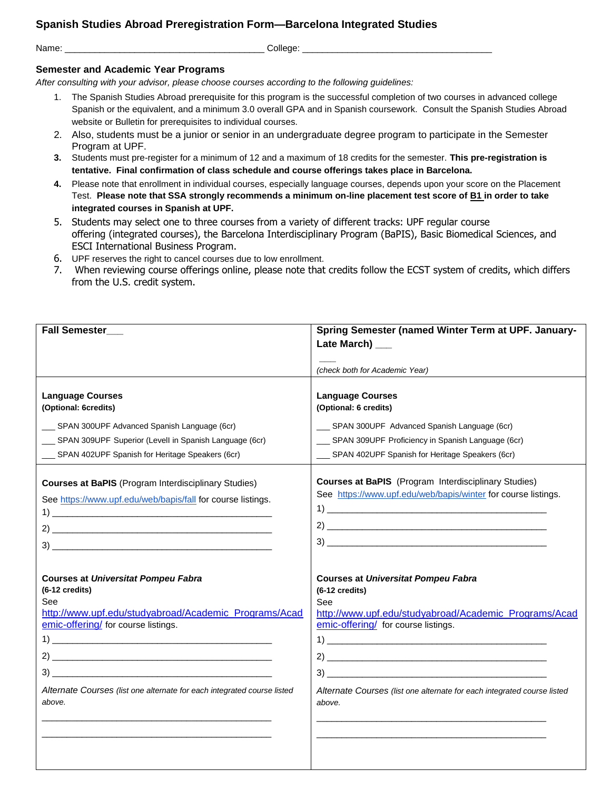## **Spanish Studies Abroad Preregistration Form—Barcelona Integrated Studies**

Name: \_\_\_\_\_\_\_\_\_\_\_\_\_\_\_\_\_\_\_\_\_\_\_\_\_\_\_\_\_\_\_\_\_\_\_\_\_\_\_\_ College: \_\_\_\_\_\_\_\_\_\_\_\_\_\_\_\_\_\_\_\_\_\_\_\_\_\_\_\_\_\_\_\_\_\_\_\_\_\_

## **Semester and Academic Year Programs**

*After consulting with your advisor, please choose courses according to the following guidelines:*

- 1. The Spanish Studies Abroad prerequisite for this program is the successful completion of two courses in advanced college Spanish or the equivalent, and a minimum 3.0 overall GPA and in Spanish coursework. Consult the Spanish Studies Abroad website or Bulletin for prerequisites to individual courses.
- 2. Also, students must be a junior or senior in an undergraduate degree program to participate in the Semester Program at UPF.
- **3.** Students must pre-register for a minimum of 12 and a maximum of 18 credits for the semester. **This pre-registration is tentative. Final confirmation of class schedule and course offerings takes place in Barcelona.**
- **4.** Please note that enrollment in individual courses, especially language courses, depends upon your score on the Placement Test. **Please note that SSA strongly recommends a minimum on-line placement test score of B1 in order to take integrated courses in Spanish at UPF.**
- 5. Students may select one to three courses from a variety of different tracks: UPF regular course offering (integrated courses), the Barcelona Interdisciplinary Program (BaPIS), Basic Biomedical Sciences, and ESCI International Business Program.
- 6. UPF reserves the right to cancel courses due to low enrollment.
- 7. When reviewing course offerings online, please note that credits follow the ECST system of credits, which differs from the U.S. credit system.

| Fall Semester___                                                        | Spring Semester (named Winter Term at UPF. January-                     |
|-------------------------------------------------------------------------|-------------------------------------------------------------------------|
|                                                                         | Late March) ___                                                         |
|                                                                         |                                                                         |
|                                                                         | (check both for Academic Year)                                          |
|                                                                         |                                                                         |
| <b>Language Courses</b>                                                 | <b>Language Courses</b>                                                 |
| (Optional: 6credits)                                                    | (Optional: 6 credits)                                                   |
| __ SPAN 300UPF Advanced Spanish Language (6cr)                          | __ SPAN 300UPF Advanced Spanish Language (6cr)                          |
| __ SPAN 309UPF Superior (Levell in Spanish Language (6cr)               | __ SPAN 309UPF Proficiency in Spanish Language (6cr)                    |
| __ SPAN 402UPF Spanish for Heritage Speakers (6cr)                      | __ SPAN 402UPF Spanish for Heritage Speakers (6cr)                      |
|                                                                         |                                                                         |
| <b>Courses at BaPIS</b> (Program Interdisciplinary Studies)             | <b>Courses at BaPIS</b> (Program Interdisciplinary Studies)             |
|                                                                         | See https://www.upf.edu/web/bapis/winter for course listings.           |
| See https://www.upf.edu/web/bapis/fall for course listings.             |                                                                         |
|                                                                         |                                                                         |
| $\mathbf{2}$                                                            |                                                                         |
|                                                                         |                                                                         |
|                                                                         |                                                                         |
| <b>Courses at Universitat Pompeu Fabra</b>                              | <b>Courses at Universitat Pompeu Fabra</b>                              |
| $(6-12 \text{ credits})$                                                | $(6-12$ credits)                                                        |
| See                                                                     | See                                                                     |
| http://www.upf.edu/studyabroad/Academic Programs/Acad                   | http://www.upf.edu/studyabroad/Academic_Programs/Acad                   |
| emic-offering/ for course listings.                                     | emic-offering/ for course listings.                                     |
|                                                                         |                                                                         |
|                                                                         |                                                                         |
|                                                                         |                                                                         |
| Alternate Courses (list one alternate for each integrated course listed | Alternate Courses (list one alternate for each integrated course listed |
| above.                                                                  | above.                                                                  |
|                                                                         |                                                                         |
|                                                                         |                                                                         |
|                                                                         |                                                                         |
|                                                                         |                                                                         |